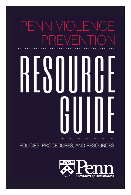# PENN VIOLENCE PREVENTION

POLICIES, PROCEDURES, AND RESOURCES

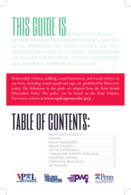THIS GUIDE ISINTENDED TO PROVIDE INFORMATION ABOUT RELATIONSHIP VIOLENCE, STALKING, SEXUAL HARASSMENT, AND SEXUAL VIOLENCE, AND THE RESOURCES AVAILABLE TO STUDENTS. IT ALSO GIVES AN OVERVIEW OF THE REPORTING OPTIONS FOR STUDENTS WHO EXPERIENCE INTERPERSONAL VIOLENCE.

Relationship violence, stalking, sexual harassment, and sexual violence in any form, including sexual assault and rape, are prohibited by University policy. The definitions in this guide are adapted from the Penn Sexual Misconduct Policy. The policy can be found on the Penn Violence Prevention website at **www.vpul.upenn.edu/pvp**

# table of contents:

| CONFIDENTIAL SUPPORT RESOURCES 6 |  |
|----------------------------------|--|
|                                  |  |
|                                  |  |
|                                  |  |







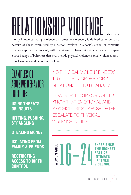# RELATIONSHIP VIIULENUL, also com-

monly known as dating violence or domestic violence , is defined as an act or a pattern of abuse committed by a person involved in a social, sexual or romantic relationship, past or present, with the victim. Relationship violence can encompass a broad range of behaviors that may include physical violence, sexual violence, emotional violence and economic violence.

### Examples of ABIISIVE BEHAV include:

USING THREATS OR INSULTS

HITTING, PUSHING, STRANGLING

STEALING MONEY

ISOLATING FROM FAMILY & FRIENDS

RESTRICTING ACCESS TO BIRTH **CONTROL** 

NO PHYSICAL VIOLENCE NEEDS TO OCCUR IN ORDER FOR A RELATIONSHIP TO BE ABUSIVE.

HOWEVER, IT IS IMPORTANT TO KNOW THAT EMOTIONAL AND PSYCHOLOGICAL ABUSE OFTEN ESCALATE TO PHYSICAL VIOLENCE IN TIME.

PERIENCE **OMEN AGEL GHEST** 

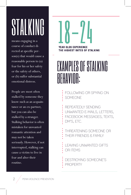## STALKIN

means engaging in a course of conduct directed at specific person(s) that would cause a reasonable person to (a) fear for his or her safety or the safety of others, or (b) suffer substantial emotional distress.

People are most often stalked by someone they know such as an acquaintance or an ex-partner, but you can also be stalked by a stranger. Stalking behavior is often mistaken for unwanted romantic attention and may not be taken seriously. However, if not interrupted, stalking can cause a victim to live in fear and alter their routine.

# **YEAR OLDS EXPERIENCE**

THE HIGHEST RATES OF STALKING

### EXAMPLES OF STALKING BEHAVIOR:

FOLLOWING OR SPYING ON SOMEONE

- REPEATEDLY SENDING
- UNWANTED E-MAILS, LETTERS,
- FACEBOOK MESSAGES, TEXTS,
- DM'S, ETC.
- THREATENING SOMEONE OR THEIR FRIENDS & FAMILY
- LEAVING UNWANTED GIFTS OR ITEMS
- DESTROYING SOMEONE'S PROPERTY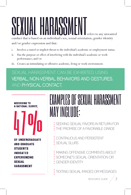# SEXUAL HARASSMENTrefers to any unwanted conduct that is based on an individual's sex, sexual orientation, gender identity

and/or gender expression and that:

- i. Involves a stated or implicit threat to the individual's academic or employment status;
- ii. Has the purpose or effect of interfering with the individual's academic or work performance; and/or
- iii. Creates an intimidating or offensive academic, living or work environment.

SEXUAL HARASSMENT CAN BE EXHIBITED USING VERBAL, NON-VERBAL BEHAVIORS AND GESTURES, AND PHYSICAL CONTACT.

**ACCORDING TO** A NATIONAL SURVEY,

**OF UNDERGRADUATE AND GRADUATE STUDENTS INDICATED EXPERIENCING SEXUAL HARASSMENT** 

### EXAMPLES OF SEXUAL HARASSMENT MAY INGLUIDE:

SEEKING SEXUAL FAVORS IN RETURN FOR THE PROMISE OF A FAVORABLE GRADE

- **: CONTINUOUS AND PERSISTENT**
- **SEXUAL SLURS**
- **: MAKING OFFENSIVE COMMENTS ABOUT**
- SOMEONE'S SEXUAL ORIENTATION OR
- GENDER IDENTITY

TEXTING SEXUAL IMAGES OR MESSAGES

RESOURCE GUIDE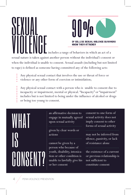**SEXUAL** OF COLLEGE SEXUAL VIOLENCE SURVIV<br>KNOW THEIR ATTACKER<br>includes a range of behaviors in which an act of a sexual nature is taken against another person without the individual's consent or when the individual is unable to consent. Sexual assault (including but not limited to rape) is defined as someone having committed any of the following acts:

Any physical sexual contact that involves the use or threat of force or

violence or any other form of coercion or intimidation;

Any physical sexual contact with a person who is unable to consent due to incapacity or impairment, mental or physical. "Incapacity" or "impairment" includes but is not limited to being under the influence of alcohol or drugs or being too young to consent.

## WHAT. IS CONSENT?

an affirmative decision to engage in mutually agreed upon sexual activity

given by clear words or actions

cannot be given by a person who because of youth, disability, intoxication or other condition is unable to lawfully give his or her consent

consent to one form of sexual activity does not imply consent to other forms of sexual activity

may not be inferred from silence, passivity, or lack of resistance alone

the existence of a current or previous relationship is not sufficient to constitute consent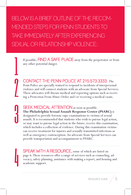BELOW IS A BRIFF OUTLINE OF THE RECOM-MENDED STEPS FOR PENN STUDENTS TO TAKE IMMEDIATELY AFTER EXPERIENCING SEXUAL OR RELATIONSHIP VIOLENCE:

 $\overline{\mathsf{I}}$ 

 $\int$ 

1<br>J

4

If possible, FIND A SAFE PLACE away from the perpetrator or from any other potential danger.

CONTACT THE PENN POLICE AT 215.573.3333. The Penn Police are specially trained to respond to incidents of interpersonal violence and will connect students with an advocate from Special Services. These advocates will discuss medical and reporting options such as receiving a Protection From Abuse Order and/or receiving a medical exam.

SEEK MEDICAL ATTENTION as soon as possible. **The Philadelphia Sexual Assault Response Center (PSARC)** is designated to provide forensic rape examinations to victims of sexual assault. It is recommended that students who wish to pursue legal action, or may want to pursue legal action in the future, receive this examination, which includes a collection of evidence. During this examination victims can receive treatment for injuries and sexually transmitted infections as well as emergency contraception. An advocate from Special Services can provide transportation and accompaniment to PSARC.

SPEAK WITH A RESOURCE, some of which are listed on page 6. These resources offer a range of services such as counseling, advocacy, safety planning, assistance with making a report, and housing and academic support.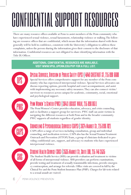## CONFIDENTIAL SUPPORT BESOURC

There are many resource offices available at Penn to assist members of the Penn community who have experienced sexual violence, sexual harassment, relationship violence or stalking. The following are resource offices that are confidential, which means that the information shared with them generally will be held in confidence, consistent with the University's obligation to address these complaints, unless the person sharing the information gives their consent to the disclosure of that information. Confidential resources are not obligated to share identifying information with the Title IX Officer.

#### ADDITIONAL CONFIDENTIAL RESOURCES ARE AVAILABLE. VISIT WWW.VPUL.UPENN.EDU/PVP FOR A FULL LIST.



PWC

#### Special Services, Division of Public Safety (DPS) 4040 CHESTNUT ST, 215 898 6600 Special Services offers comprehensive support for any member of the Penn com-

munity who has experienced interpersonal violence. Special Services advocates can discuss reporting options, provide hospital and court accompaniment, and assist with implementing any necessary safety measures. They can also connect victim/ survivors to resources across campus for academic, community, social, emotional and psychological support.

### NN WOMEN'S CENTER (PWC) | 3643 LOCUST WALK, 215 898 8611

The Penn Women's Center provides education, advocacy, and crisis counseling, and co-facilitates a support group for survivors. PWC staff can assist victims in navigating the different resources at both Penn and in the broader community. PWC supports all students regardless of gender identity.

### **CAPS**

SHS

### Counseling & Psychological Services (CAPS) 3624 Market St, 215 898 7021

CAPS offers a range of services including consultation, group and individual counseling, and medication reviews. CAPS also has the Sexual Trauma Treatment Outreach and Prevention (STTOP) Team, a group of clinicians dedicated to providing confidential care, support, and advocacy to students who have experienced interpersonal violence.

### Student Health Service (SHS) 3535 Market St, Suite 100, 215 746 3535

The Student Health Service (SHS) can provide evaluation and treatment to victims of all forms of interpersonal violence. SHS providers can perform examinations, provide testing and treatment of sexually transmissible infections, provide emergency contraception, and arrange for referrals. Office visits are covered in full by the Clinical Fee and the Penn Student Insurance Plan (PSIP). Charges for lab tests related to a sexual assault are waived.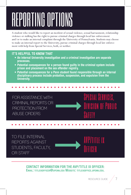## REPORTING OPTIONS

A student who would like to report an incident of sexual violence, sexual harrassment, relationship violence or stalking has the right to pursue criminal charges through local law enforcement and/or to make an internal complaint through the University of Pennsylvania. Students may choose to make an internal report to the University, pursue criminal charges through local law enforcement with help from Special Services, both, or neither.

#### IT'S HELPFUL TO KNOW THAT

- An internal University investigation and a criminal investigation are separate processes.
- Potential consequences for a person found guilty in the criminal system include prison and placement on the sex offender registry.
- Potential consequences for a Penn student found responsible through an internal disciplinary process include probation, suspension, and expulsion from the University.

FOR ASSISTANCE WITH CRIMINAL REPORTS OR PROTECTION FROM ABUSE ORDERS

TO FILE INTERNAL REPORTS AGAINST STUDENTS, FACULTY, OR STAFF

> CONTACT INFORMATION FOR THE AVP/TITLE IX OFFICER: Email: titleixofficer@upenn.edu Website: titleixoffice.upenn.edu.



Special Services,

Division of Public

Safety

AVP/title ix

**OFFICER**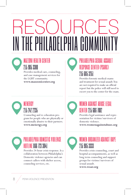## RESOURCES IN THE PHILADELPHIA COMMUNITY

#### NI HEALTH CENTER 215 985 3300

Provides medical care, counseling, and case management services for the LGBT community. **www.mazzonicenter.org**

#### PHIA SEXUAL ASSAULT RESPONSE CENTER (PSARC) 215 685 3251

Provides forensic medical exams and treatment for sexual assault. You are not required to make an official report but the police will still need to escort you to the center for the exam.

#### MENERGY 215 242 2235

Counseling and re-education program for people who are physically or emotionally abusive to their partners. **www.menergy.org** 



#### AGAINST ABUSE LEGAL **CENTER 215 686 7082**

Provides legal assistance and representation for victims/survivors of domestic violence.

**www.womenagainstabuse.org**

#### PHILADELPHIA DOMESTIC VIOLENCE HOTLINE 866 723 3041

Provides 24-hour crisis response. Is a collaboration between Philadelphia's Domestic violence agencies and can connect callers with shelter access, counseling services, etc.



Provides crisis counseling, court and hospital accompaniments, as well as long term counseling and support groups for victims/survivors of sexual assault.

**www.woar.org**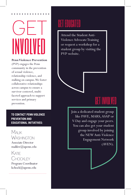## $\begin{array}{c} \n \overrightarrow{)} \ \end{array}$ involved

**Penn Violence Prevention** 

(PVP) engages the Penn community in the prevention of sexual violence, relationship violence, and stalking on campus. We foster collaborative relationships across campus to ensure a survivor-centered, multifaceted approach to support services and primary prevention.

TO CONTACT PENN VIOLENCE PREVENTION AND EDUCATIONAL INITIATIVES:

Malik **WASHINGTON** 

Associate Director malikw@upenn.edu

Katie **CHOCKLEY** 

Program Coordinator kchock@upenn.edu

### GET EDUCATED

Attend the Student Anti-Violence Advocate Training or request a workshop for a student group by visiting the PVP website.

### GET INVOLVED

Join a dedicated student group like PAVE, MARS, ASAP or V-Day and engage your peers. You can also get your student group involved by joining the NEW Anti-Violence Engagement Network (AVEN).